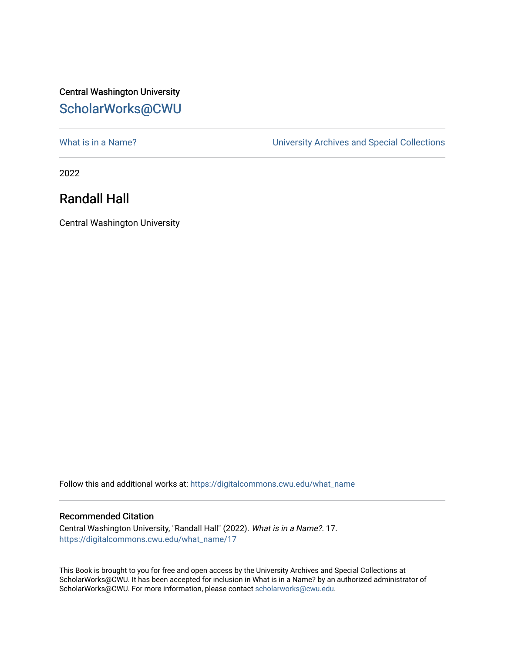## Central Washington University [ScholarWorks@CWU](https://digitalcommons.cwu.edu/)

What is in a Name?<br>
University Archives and Special Collections

2022

## Randall Hall

Central Washington University

Follow this and additional works at: [https://digitalcommons.cwu.edu/what\\_name](https://digitalcommons.cwu.edu/what_name?utm_source=digitalcommons.cwu.edu%2Fwhat_name%2F17&utm_medium=PDF&utm_campaign=PDFCoverPages) 

## Recommended Citation

Central Washington University, "Randall Hall" (2022). What is in a Name?. 17. [https://digitalcommons.cwu.edu/what\\_name/17](https://digitalcommons.cwu.edu/what_name/17?utm_source=digitalcommons.cwu.edu%2Fwhat_name%2F17&utm_medium=PDF&utm_campaign=PDFCoverPages) 

This Book is brought to you for free and open access by the University Archives and Special Collections at ScholarWorks@CWU. It has been accepted for inclusion in What is in a Name? by an authorized administrator of ScholarWorks@CWU. For more information, please contact [scholarworks@cwu.edu](mailto:scholarworks@cwu.edu).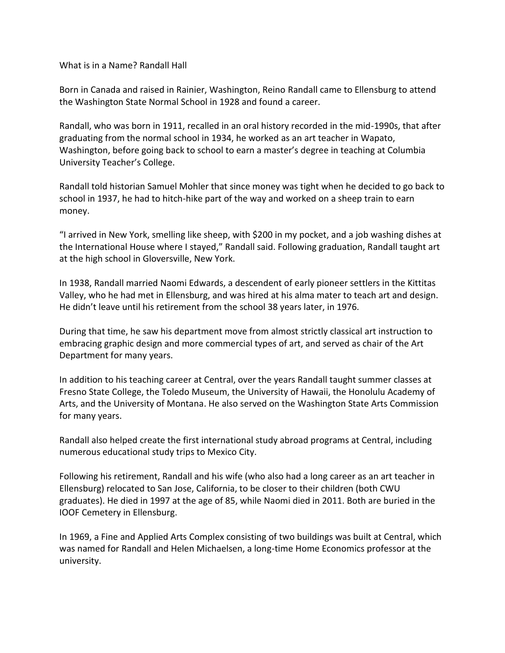What is in a Name? Randall Hall

Born in Canada and raised in Rainier, Washington, Reino Randall came to Ellensburg to attend the Washington State Normal School in 1928 and found a career.

Randall, who was born in 1911, recalled in an oral history recorded in the mid-1990s, that after graduating from the normal school in 1934, he worked as an art teacher in Wapato, Washington, before going back to school to earn a master's degree in teaching at Columbia University Teacher's College.

Randall told historian Samuel Mohler that since money was tight when he decided to go back to school in 1937, he had to hitch-hike part of the way and worked on a sheep train to earn money.

"I arrived in New York, smelling like sheep, with \$200 in my pocket, and a job washing dishes at the International House where I stayed," Randall said. Following graduation, Randall taught art at the high school in Gloversville, New York.

In 1938, Randall married Naomi Edwards, a descendent of early pioneer settlers in the Kittitas Valley, who he had met in Ellensburg, and was hired at his alma mater to teach art and design. He didn't leave until his retirement from the school 38 years later, in 1976.

During that time, he saw his department move from almost strictly classical art instruction to embracing graphic design and more commercial types of art, and served as chair of the Art Department for many years.

In addition to his teaching career at Central, over the years Randall taught summer classes at Fresno State College, the Toledo Museum, the University of Hawaii, the Honolulu Academy of Arts, and the University of Montana. He also served on the Washington State Arts Commission for many years.

Randall also helped create the first international study abroad programs at Central, including numerous educational study trips to Mexico City.

Following his retirement, Randall and his wife (who also had a long career as an art teacher in Ellensburg) relocated to San Jose, California, to be closer to their children (both CWU graduates). He died in 1997 at the age of 85, while Naomi died in 2011. Both are buried in the IOOF Cemetery in Ellensburg.

In 1969, a Fine and Applied Arts Complex consisting of two buildings was built at Central, which was named for Randall and Helen Michaelsen, a long-time Home Economics professor at the university.